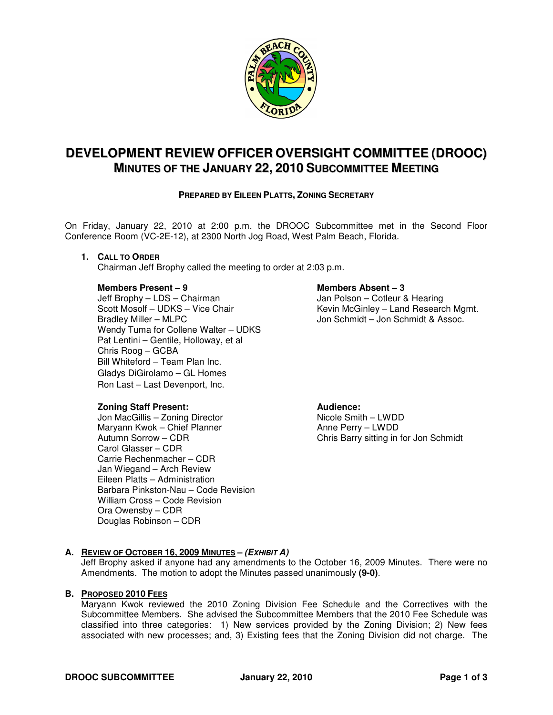

# **DEVELOPMENT REVIEW OFFICER OVERSIGHT COMMITTEE (DROOC) MINUTES OF THE JANUARY 22, 2010 SUBCOMMITTEE MEETING**

# **PREPARED BY EILEEN PLATTS, ZONING SECRETARY**

On Friday, January 22, 2010 at 2:00 p.m. the DROOC Subcommittee met in the Second Floor Conference Room (VC-2E-12), at 2300 North Jog Road, West Palm Beach, Florida.

## **1. CALL TO ORDER**

Chairman Jeff Brophy called the meeting to order at 2:03 p.m.

## **Members Present – 9 Members Absent – 3**

Jeff Brophy – LDS – Chairman<br>
Scott Mosolf – UDKS – Vice Chair<br>
Ginley – Land Research Scott Mosolf – UDKS – Vice Chair **Kevin McGinley – Land Research Mgmt.**<br>Bradley Miller – MLPC **Matter Chair** Museum Jon Schmidt – Jon Schmidt & Assoc. Wendy Tuma for Collene Walter – UDKS Pat Lentini – Gentile, Holloway, et al Chris Roog – GCBA Bill Whiteford – Team Plan Inc. Gladys DiGirolamo – GL Homes Ron Last – Last Devenport, Inc.

# **Zoning Staff Present: Audience: Audience: Audience: Audience: Audience: Audience: Audience: Audience: Audience: Audience: Audience: Audience: Audience: Audience: Audience: Audience: Audie**

Jon MacGillis – Zoning Director Nicole Smith – LWDD Maryann Kwok – Chief Planner **Anne Perry – LWDD**<br>Autumn Sorrow – CDR Autumn Sorrow – CDR Carol Glasser – CDR Carrie Rechenmacher – CDR Jan Wiegand – Arch Review Eileen Platts – Administration Barbara Pinkston-Nau – Code Revision William Cross – Code Revision Ora Owensby – CDR Douglas Robinson – CDR

Jon Schmidt – Jon Schmidt & Assoc.

Chris Barry sitting in for Jon Schmidt

#### **A. REVIEW OF OCTOBER 16, 2009 MINUTES – (EXHIBIT A)**

Jeff Brophy asked if anyone had any amendments to the October 16, 2009 Minutes. There were no Amendments. The motion to adopt the Minutes passed unanimously **(9-0)**.

#### **B. PROPOSED 2010 FEES**

Maryann Kwok reviewed the 2010 Zoning Division Fee Schedule and the Correctives with the Subcommittee Members. She advised the Subcommittee Members that the 2010 Fee Schedule was classified into three categories: 1) New services provided by the Zoning Division; 2) New fees associated with new processes; and, 3) Existing fees that the Zoning Division did not charge. The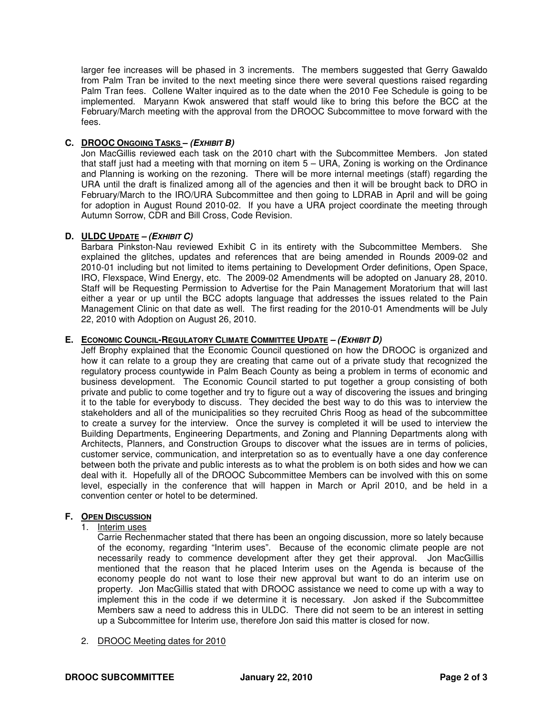larger fee increases will be phased in 3 increments. The members suggested that Gerry Gawaldo from Palm Tran be invited to the next meeting since there were several questions raised regarding Palm Tran fees. Collene Walter inquired as to the date when the 2010 Fee Schedule is going to be implemented. Maryann Kwok answered that staff would like to bring this before the BCC at the February/March meeting with the approval from the DROOC Subcommittee to move forward with the fees.

# **C. DROOC ONGOING TASKS – (EXHIBIT B)**

Jon MacGillis reviewed each task on the 2010 chart with the Subcommittee Members. Jon stated that staff just had a meeting with that morning on item 5 – URA, Zoning is working on the Ordinance and Planning is working on the rezoning. There will be more internal meetings (staff) regarding the URA until the draft is finalized among all of the agencies and then it will be brought back to DRO in February/March to the IRO/URA Subcommittee and then going to LDRAB in April and will be going for adoption in August Round 2010-02. If you have a URA project coordinate the meeting through Autumn Sorrow, CDR and Bill Cross, Code Revision.

# **D. ULDC UPDATE – (EXHIBIT C)**

Barbara Pinkston-Nau reviewed Exhibit C in its entirety with the Subcommittee Members. She explained the glitches, updates and references that are being amended in Rounds 2009-02 and 2010-01 including but not limited to items pertaining to Development Order definitions, Open Space, IRO, Flexspace, Wind Energy, etc. The 2009-02 Amendments will be adopted on January 28, 2010. Staff will be Requesting Permission to Advertise for the Pain Management Moratorium that will last either a year or up until the BCC adopts language that addresses the issues related to the Pain Management Clinic on that date as well. The first reading for the 2010-01 Amendments will be July 22, 2010 with Adoption on August 26, 2010.

# **E. ECONOMIC COUNCIL-REGULATORY CLIMATE COMMITTEE UPDATE – (EXHIBIT D)**

Jeff Brophy explained that the Economic Council questioned on how the DROOC is organized and how it can relate to a group they are creating that came out of a private study that recognized the regulatory process countywide in Palm Beach County as being a problem in terms of economic and business development. The Economic Council started to put together a group consisting of both private and public to come together and try to figure out a way of discovering the issues and bringing it to the table for everybody to discuss. They decided the best way to do this was to interview the stakeholders and all of the municipalities so they recruited Chris Roog as head of the subcommittee to create a survey for the interview. Once the survey is completed it will be used to interview the Building Departments, Engineering Departments, and Zoning and Planning Departments along with Architects, Planners, and Construction Groups to discover what the issues are in terms of policies, customer service, communication, and interpretation so as to eventually have a one day conference between both the private and public interests as to what the problem is on both sides and how we can deal with it. Hopefully all of the DROOC Subcommittee Members can be involved with this on some level, especially in the conference that will happen in March or April 2010, and be held in a convention center or hotel to be determined.

# **F. OPEN DISCUSSION**

# 1. Interim uses

Carrie Rechenmacher stated that there has been an ongoing discussion, more so lately because of the economy, regarding "Interim uses". Because of the economic climate people are not necessarily ready to commence development after they get their approval. Jon MacGillis mentioned that the reason that he placed Interim uses on the Agenda is because of the economy people do not want to lose their new approval but want to do an interim use on property. Jon MacGillis stated that with DROOC assistance we need to come up with a way to implement this in the code if we determine it is necessary. Jon asked if the Subcommittee Members saw a need to address this in ULDC. There did not seem to be an interest in setting up a Subcommittee for Interim use, therefore Jon said this matter is closed for now.

# 2. DROOC Meeting dates for 2010